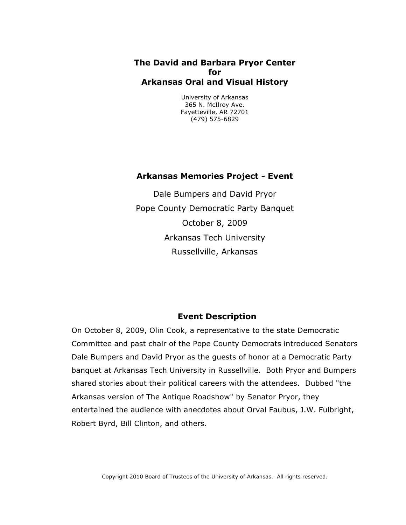# **The David and Barbara Pryor Center for Arkansas Oral and Visual History**

University of Arkansas 365 N. McIlroy Ave. Fayetteville, AR 72701 (479) 575-6829

# **Arkansas Memories Project - Event**

Dale Bumpers and David Pryor Pope County Democratic Party Banquet October 8, 2009 Arkansas Tech University Russellville, Arkansas

# **Event Description**

On October 8, 2009, Olin Cook, a representative to the state Democratic Committee and past chair of the Pope County Democrats introduced Senators Dale Bumpers and David Pryor as the guests of honor at a Democratic Party banquet at Arkansas Tech University in Russellville. Both Pryor and Bumpers shared stories about their political careers with the attendees. Dubbed "the Arkansas version of The Antique Roadshow" by Senator Pryor, they entertained the audience with anecdotes about Orval Faubus, J.W. Fulbright, Robert Byrd, Bill Clinton, and others.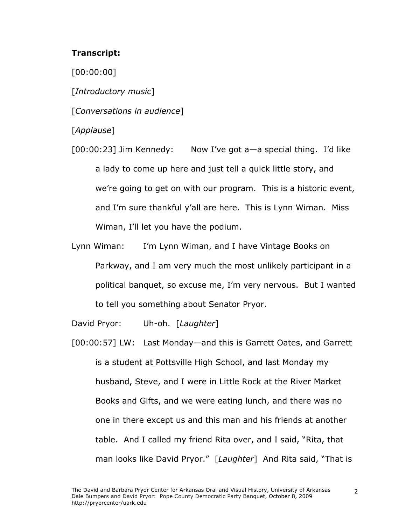## **Transcript:**

[00:00:00]

[*Introductory music*]

[*Conversations in audience*]

[*Applause*]

[00:00:23] Jim Kennedy: Now I've got a—a special thing. I'd like a lady to come up here and just tell a quick little story, and we're going to get on with our program. This is a historic event, and I'm sure thankful y'all are here. This is Lynn Wiman. Miss Wiman, I'll let you have the podium.

Lynn Wiman: I'm Lynn Wiman, and I have Vintage Books on Parkway, and I am very much the most unlikely participant in a political banquet, so excuse me, I'm very nervous. But I wanted to tell you something about Senator Pryor.

David Pryor: Uh-oh. [*Laughter*]

[00:00:57] LW: Last Monday—and this is Garrett Oates, and Garrett is a student at Pottsville High School, and last Monday my husband, Steve, and I were in Little Rock at the River Market Books and Gifts, and we were eating lunch, and there was no one in there except us and this man and his friends at another table. And I called my friend Rita over, and I said, "Rita, that man looks like David Pryor." [*Laughter*] And Rita said, "That is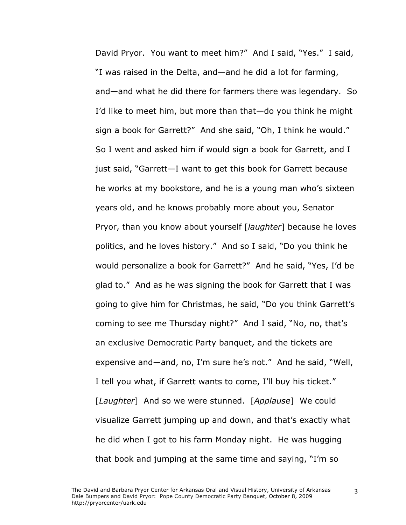David Pryor. You want to meet him?" And I said, "Yes." I said, "I was raised in the Delta, and—and he did a lot for farming, and—and what he did there for farmers there was legendary. So I'd like to meet him, but more than that—do you think he might sign a book for Garrett?" And she said, "Oh, I think he would." So I went and asked him if would sign a book for Garrett, and I just said, "Garrett—I want to get this book for Garrett because he works at my bookstore, and he is a young man who's sixteen years old, and he knows probably more about you, Senator Pryor, than you know about yourself [*laughter*] because he loves politics, and he loves history." And so I said, "Do you think he would personalize a book for Garrett?" And he said, "Yes, I'd be glad to." And as he was signing the book for Garrett that I was going to give him for Christmas, he said, "Do you think Garrett's coming to see me Thursday night?" And I said, "No, no, that's an exclusive Democratic Party banquet, and the tickets are expensive and—and, no, I'm sure he's not." And he said, "Well, I tell you what, if Garrett wants to come, I'll buy his ticket." [*Laughter*] And so we were stunned. [*Applause*] We could visualize Garrett jumping up and down, and that's exactly what he did when I got to his farm Monday night. He was hugging that book and jumping at the same time and saying, "I'm so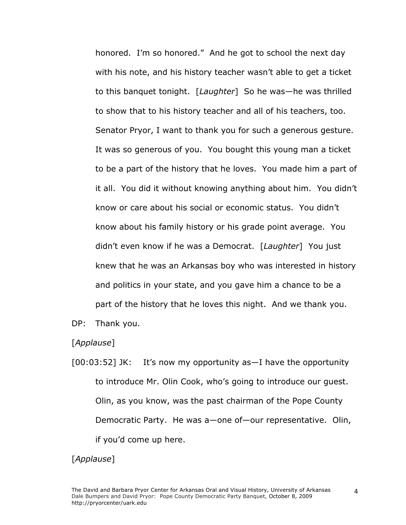honored. I'm so honored." And he got to school the next day with his note, and his history teacher wasn't able to get a ticket to this banquet tonight. [*Laughter*] So he was—he was thrilled to show that to his history teacher and all of his teachers, too. Senator Pryor, I want to thank you for such a generous gesture. It was so generous of you. You bought this young man a ticket to be a part of the history that he loves. You made him a part of it all. You did it without knowing anything about him. You didn't know or care about his social or economic status. You didn't know about his family history or his grade point average. You didn't even know if he was a Democrat. [*Laughter*] You just knew that he was an Arkansas boy who was interested in history and politics in your state, and you gave him a chance to be a part of the history that he loves this night. And we thank you.

DP: Thank you.

[*Applause*]

[00:03:52] JK: It's now my opportunity as—I have the opportunity to introduce Mr. Olin Cook, who's going to introduce our guest. Olin, as you know, was the past chairman of the Pope County Democratic Party. He was a—one of—our representative. Olin, if you'd come up here.

### [*Applause*]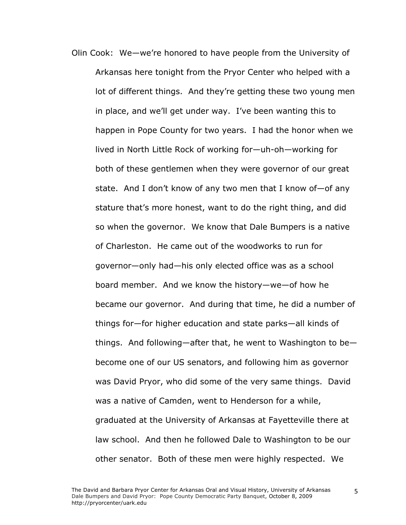Olin Cook: We—we're honored to have people from the University of Arkansas here tonight from the Pryor Center who helped with a lot of different things. And they're getting these two young men in place, and we'll get under way. I've been wanting this to happen in Pope County for two years. I had the honor when we lived in North Little Rock of working for—uh-oh—working for both of these gentlemen when they were governor of our great state. And I don't know of any two men that I know of—of any stature that's more honest, want to do the right thing, and did so when the governor. We know that Dale Bumpers is a native of Charleston. He came out of the woodworks to run for governor—only had—his only elected office was as a school board member. And we know the history—we—of how he became our governor. And during that time, he did a number of things for—for higher education and state parks—all kinds of things. And following—after that, he went to Washington to be become one of our US senators, and following him as governor was David Pryor, who did some of the very same things. David was a native of Camden, went to Henderson for a while, graduated at the University of Arkansas at Fayetteville there at law school. And then he followed Dale to Washington to be our other senator. Both of these men were highly respected. We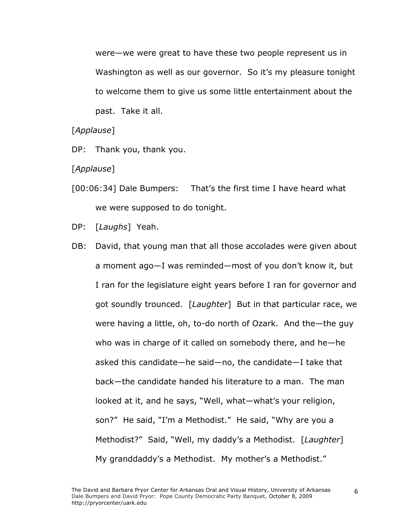were—we were great to have these two people represent us in Washington as well as our governor. So it's my pleasure tonight to welcome them to give us some little entertainment about the past. Take it all.

#### [*Applause*]

DP: Thank you, thank you.

#### [*Applause*]

- [00:06:34] Dale Bumpers: That's the first time I have heard what we were supposed to do tonight.
- DP: [*Laughs*] Yeah.
- DB: David, that young man that all those accolades were given about a moment ago—I was reminded—most of you don't know it, but I ran for the legislature eight years before I ran for governor and got soundly trounced. [*Laughter*]But in that particular race, we were having a little, oh, to-do north of Ozark. And the—the guy who was in charge of it called on somebody there, and he—he asked this candidate—he said—no, the candidate—I take that back—the candidate handed his literature to a man. The man looked at it, and he says, "Well, what—what's your religion, son?" He said, "I'm a Methodist." He said, "Why are you a Methodist?" Said, "Well, my daddy's a Methodist. [*Laughter*] My granddaddy's a Methodist. My mother's a Methodist."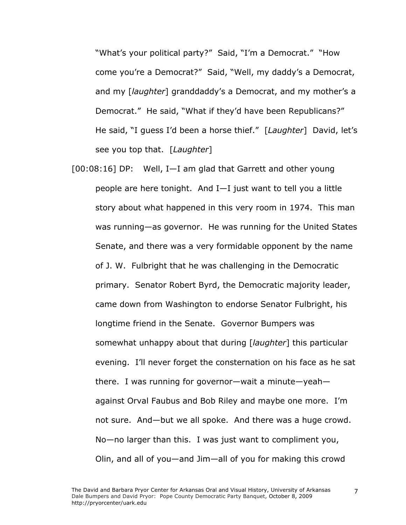"What's your political party?" Said, "I'm a Democrat." "How come you're a Democrat?" Said, "Well, my daddy's a Democrat, and my [*laughter*] granddaddy's a Democrat, and my mother's a Democrat." He said, "What if they'd have been Republicans?" He said, "I guess I'd been a horse thief." [*Laughter*] David, let's see you top that. [*Laughter*]

[00:08:16] DP: Well, I—I am glad that Garrett and other young people are here tonight. And I—I just want to tell you a little story about what happened in this very room in 1974. This man was running—as governor. He was running for the United States Senate, and there was a very formidable opponent by the name of J. W. Fulbright that he was challenging in the Democratic primary. Senator Robert Byrd, the Democratic majority leader, came down from Washington to endorse Senator Fulbright, his longtime friend in the Senate. Governor Bumpers was somewhat unhappy about that during [*laughter*] this particular evening. I'll never forget the consternation on his face as he sat there. I was running for governor—wait a minute—yeah against Orval Faubus and Bob Riley and maybe one more. I'm not sure. And—but we all spoke. And there was a huge crowd. No—no larger than this. I was just want to compliment you, Olin, and all of you—and Jim—all of you for making this crowd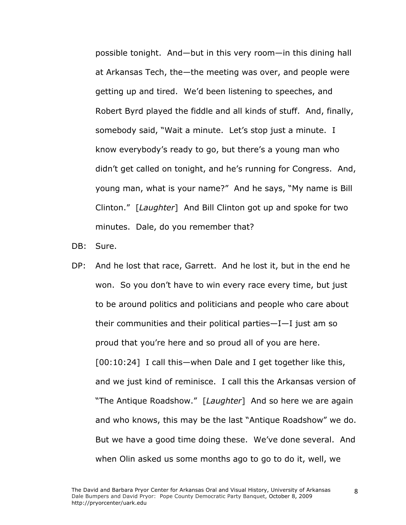possible tonight. And—but in this very room—in this dining hall at Arkansas Tech, the—the meeting was over, and people were getting up and tired. We'd been listening to speeches, and Robert Byrd played the fiddle and all kinds of stuff. And, finally, somebody said, "Wait a minute. Let's stop just a minute. I know everybody's ready to go, but there's a young man who didn't get called on tonight, and he's running for Congress. And, young man, what is your name?" And he says, "My name is Bill Clinton." [*Laughter*] And Bill Clinton got up and spoke for two minutes. Dale, do you remember that?

DB: Sure.

DP: And he lost that race, Garrett. And he lost it, but in the end he won. So you don't have to win every race every time, but just to be around politics and politicians and people who care about their communities and their political parties—I—I just am so proud that you're here and so proud all of you are here. [00:10:24] I call this—when Dale and I get together like this, and we just kind of reminisce. I call this the Arkansas version of "The Antique Roadshow." [*Laughter*] And so here we are again and who knows, this may be the last "Antique Roadshow" we do. But we have a good time doing these. We've done several. And when Olin asked us some months ago to go to do it, well, we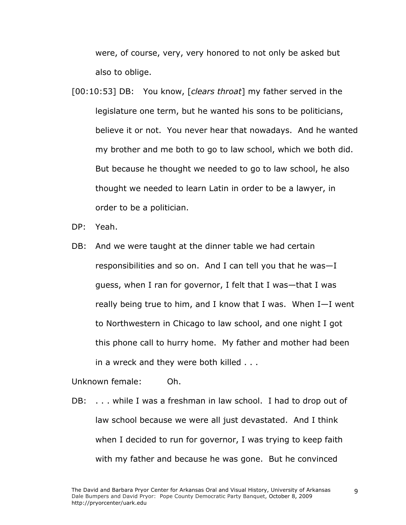were, of course, very, very honored to not only be asked but also to oblige.

- [00:10:53] DB: You know, [*clears throat*] my father served in the legislature one term, but he wanted his sons to be politicians, believe it or not. You never hear that nowadays. And he wanted my brother and me both to go to law school, which we both did. But because he thought we needed to go to law school, he also thought we needed to learn Latin in order to be a lawyer, in order to be a politician.
- DP: Yeah.
- DB: And we were taught at the dinner table we had certain responsibilities and so on. And I can tell you that he was—I guess, when I ran for governor, I felt that I was—that I was really being true to him, and I know that I was. When I—I went to Northwestern in Chicago to law school, and one night I got this phone call to hurry home. My father and mother had been in a wreck and they were both killed . . .

Unknown female: Oh.

DB: . . . while I was a freshman in law school. I had to drop out of law school because we were all just devastated. And I think when I decided to run for governor, I was trying to keep faith with my father and because he was gone. But he convinced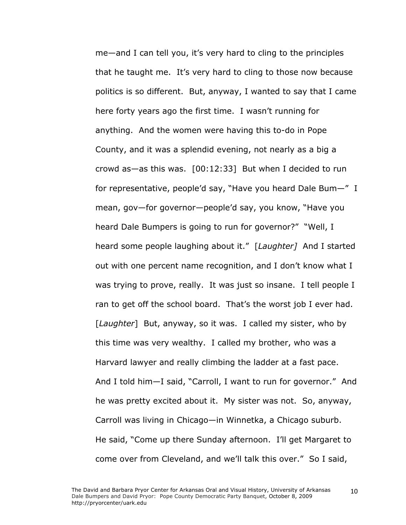me—and I can tell you, it's very hard to cling to the principles that he taught me. It's very hard to cling to those now because politics is so different. But, anyway, I wanted to say that I came here forty years ago the first time. I wasn't running for anything. And the women were having this to-do in Pope County, and it was a splendid evening, not nearly as a big a crowd as—as this was. [00:12:33] But when I decided to run for representative, people'd say, "Have you heard Dale Bum—" I mean, gov—for governor—people'd say, you know, "Have you heard Dale Bumpers is going to run for governor?" "Well, I heard some people laughing about it." [*Laughter]* And I started out with one percent name recognition, and I don't know what I was trying to prove, really. It was just so insane. I tell people I ran to get off the school board. That's the worst job I ever had. [*Laughter*] But, anyway, so it was. I called my sister, who by this time was very wealthy. I called my brother, who was a Harvard lawyer and really climbing the ladder at a fast pace. And I told him—I said, "Carroll, I want to run for governor." And he was pretty excited about it. My sister was not. So, anyway, Carroll was living in Chicago—in Winnetka, a Chicago suburb. He said, "Come up there Sunday afternoon. I'll get Margaret to come over from Cleveland, and we'll talk this over." So I said,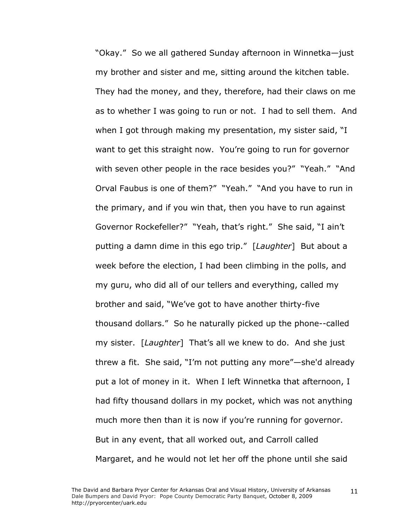"Okay." So we all gathered Sunday afternoon in Winnetka—just my brother and sister and me, sitting around the kitchen table. They had the money, and they, therefore, had their claws on me as to whether I was going to run or not. I had to sell them. And when I got through making my presentation, my sister said, "I want to get this straight now. You're going to run for governor with seven other people in the race besides you?" "Yeah." "And Orval Faubus is one of them?" "Yeah." "And you have to run in the primary, and if you win that, then you have to run against Governor Rockefeller?" "Yeah, that's right." She said, "I ain't putting a damn dime in this ego trip." [*Laughter*] But about a week before the election, I had been climbing in the polls, and my guru, who did all of our tellers and everything, called my brother and said, "We've got to have another thirty-five thousand dollars." So he naturally picked up the phone--called my sister. [*Laughter*] That's all we knew to do. And she just threw a fit. She said, "I'm not putting any more"—she'd already put a lot of money in it. When I left Winnetka that afternoon, I had fifty thousand dollars in my pocket, which was not anything much more then than it is now if you're running for governor. But in any event, that all worked out, and Carroll called Margaret, and he would not let her off the phone until she said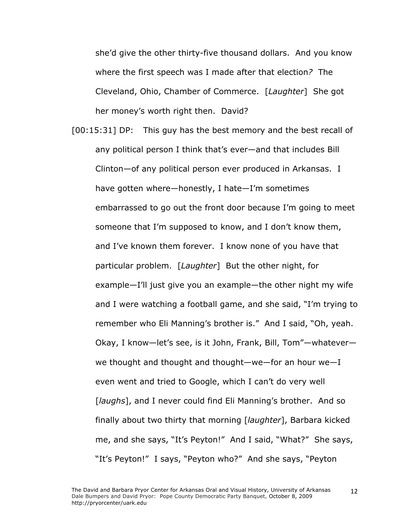she'd give the other thirty-five thousand dollars. And you know where the first speech was I made after that election*?* The Cleveland, Ohio, Chamber of Commerce. [*Laughter*] She got her money's worth right then. David?

[00:15:31] DP: This guy has the best memory and the best recall of any political person I think that's ever—and that includes Bill Clinton—of any political person ever produced in Arkansas. I have gotten where—honestly, I hate—I'm sometimes embarrassed to go out the front door because I'm going to meet someone that I'm supposed to know, and I don't know them, and I've known them forever. I know none of you have that particular problem. [*Laughter*] But the other night, for example—I'll just give you an example—the other night my wife and I were watching a football game, and she said, "I'm trying to remember who Eli Manning's brother is." And I said, "Oh, yeah. Okay, I know—let's see, is it John, Frank, Bill, Tom"—whatever we thought and thought and thought—we—for an hour we—I even went and tried to Google, which I can't do very well [*laughs*], and I never could find Eli Manning's brother. And so finally about two thirty that morning [*laughter*], Barbara kicked me, and she says, "It's Peyton!" And I said, "What?" She says, "It's Peyton!" I says, "Peyton who?" And she says, "Peyton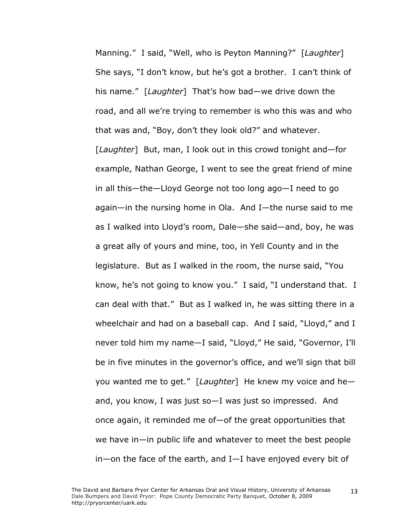Manning." I said, "Well, who is Peyton Manning?" [*Laughter*] She says, "I don't know, but he's got a brother. I can't think of his name." [*Laughter*] That's how bad—we drive down the road, and all we're trying to remember is who this was and who that was and, "Boy, don't they look old?" and whatever. [*Laughter*] But, man, I look out in this crowd tonight and—for example, Nathan George, I went to see the great friend of mine in all this—the—Lloyd George not too long ago—I need to go again—in the nursing home in Ola. And I—the nurse said to me as I walked into Lloyd's room, Dale—she said—and, boy, he was a great ally of yours and mine, too, in Yell County and in the legislature. But as I walked in the room, the nurse said, "You know, he's not going to know you." I said, "I understand that. I can deal with that." But as I walked in, he was sitting there in a wheelchair and had on a baseball cap. And I said, "Lloyd," and I never told him my name—I said, "Lloyd," He said, "Governor, I'll be in five minutes in the governor's office, and we'll sign that bill you wanted me to get." [*Laughter*] He knew my voice and he and, you know, I was just so—I was just so impressed. And once again, it reminded me of—of the great opportunities that we have in—in public life and whatever to meet the best people in—on the face of the earth, and I—I have enjoyed every bit of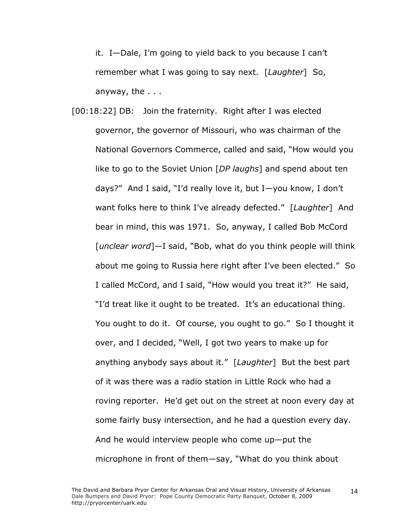it. I—Dale, I'm going to yield back to you because I can't remember what I was going to say next. [*Laughter*] So, anyway, the . . .

[00:18:22] DB: Join the fraternity. Right after I was elected governor, the governor of Missouri, who was chairman of the National Governors Commerce, called and said, "How would you like to go to the Soviet Union [*DP laughs*] and spend about ten days?" And I said, "I'd really love it, but I—you know, I don't want folks here to think I've already defected." [*Laughter*] And bear in mind, this was 1971. So, anyway, I called Bob McCord [*unclear word*]—I said, "Bob, what do you think people will think about me going to Russia here right after I've been elected." So I called McCord, and I said, "How would you treat it?" He said, "I'd treat like it ought to be treated. It's an educational thing. You ought to do it. Of course, you ought to go." So I thought it over, and I decided, "Well, I got two years to make up for anything anybody says about it." [*Laughter*] But the best part of it was there was a radio station in Little Rock who had a roving reporter. He'd get out on the street at noon every day at some fairly busy intersection, and he had a question every day. And he would interview people who come up—put the microphone in front of them—say, "What do you think about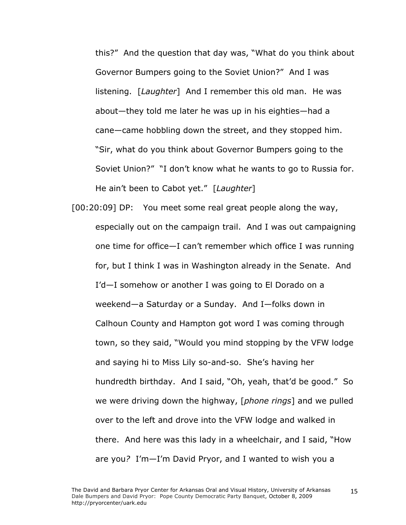this?" And the question that day was, "What do you think about Governor Bumpers going to the Soviet Union?" And I was listening. [*Laughter*] And I remember this old man. He was about—they told me later he was up in his eighties—had a cane—came hobbling down the street, and they stopped him. "Sir, what do you think about Governor Bumpers going to the Soviet Union?" "I don't know what he wants to go to Russia for. He ain't been to Cabot yet." [*Laughter*]

[00:20:09] DP: You meet some real great people along the way, especially out on the campaign trail. And I was out campaigning one time for office—I can't remember which office I was running for, but I think I was in Washington already in the Senate. And I'd—I somehow or another I was going to El Dorado on a weekend—a Saturday or a Sunday. And I—folks down in Calhoun County and Hampton got word I was coming through town, so they said, "Would you mind stopping by the VFW lodge and saying hi to Miss Lily so-and-so. She's having her hundredth birthday. And I said, "Oh, yeah, that'd be good." So we were driving down the highway, [*phone rings*] and we pulled over to the left and drove into the VFW lodge and walked in there. And here was this lady in a wheelchair, and I said, "How are you*?* I'm—I'm David Pryor, and I wanted to wish you a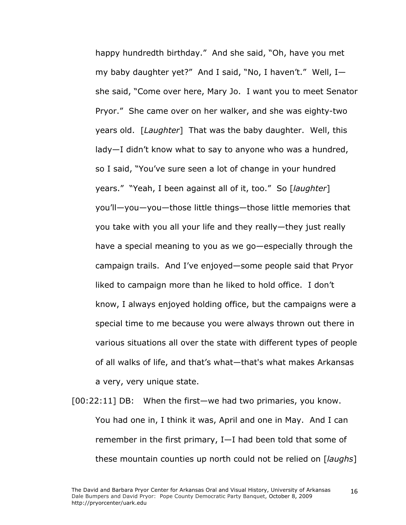happy hundredth birthday." And she said, "Oh, have you met my baby daughter yet?" And I said, "No, I haven't." Well, I she said, "Come over here, Mary Jo. I want you to meet Senator Pryor." She came over on her walker, and she was eighty-two years old. [*Laughter*] That was the baby daughter. Well, this lady—I didn't know what to say to anyone who was a hundred, so I said, "You've sure seen a lot of change in your hundred years." "Yeah, I been against all of it, too." So [*laughter*] you'll—you—you—those little things—those little memories that you take with you all your life and they really—they just really have a special meaning to you as we go—especially through the campaign trails. And I've enjoyed—some people said that Pryor liked to campaign more than he liked to hold office. I don't know, I always enjoyed holding office, but the campaigns were a special time to me because you were always thrown out there in various situations all over the state with different types of people of all walks of life, and that's what—that's what makes Arkansas a very, very unique state.

[00:22:11] DB: When the first—we had two primaries, you know. You had one in, I think it was, April and one in May. And I can remember in the first primary, I—I had been told that some of these mountain counties up north could not be relied on [*laughs*]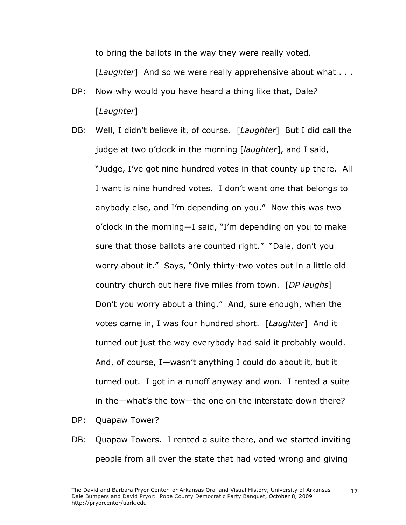to bring the ballots in the way they were really voted.

[*Laughter*] And so we were really apprehensive about what . . .

- DP: Now why would you have heard a thing like that, Dale*?*  [*Laughter*]
- DB: Well, I didn't believe it, of course. [*Laughter*] But I did call the judge at two o'clock in the morning [*laughter*], and I said, "Judge, I've got nine hundred votes in that county up there. All I want is nine hundred votes. I don't want one that belongs to anybody else, and I'm depending on you." Now this was two o'clock in the morning—I said, "I'm depending on you to make sure that those ballots are counted right." "Dale, don't you worry about it." Says, "Only thirty-two votes out in a little old country church out here five miles from town. [*DP laughs*] Don't you worry about a thing." And, sure enough, when the votes came in, I was four hundred short. [*Laughter*] And it turned out just the way everybody had said it probably would. And, of course, I—wasn't anything I could do about it, but it turned out. I got in a runoff anyway and won. I rented a suite in the—what's the tow—the one on the interstate down there?
- DP: Quapaw Tower?
- DB: Quapaw Towers. I rented a suite there, and we started inviting people from all over the state that had voted wrong and giving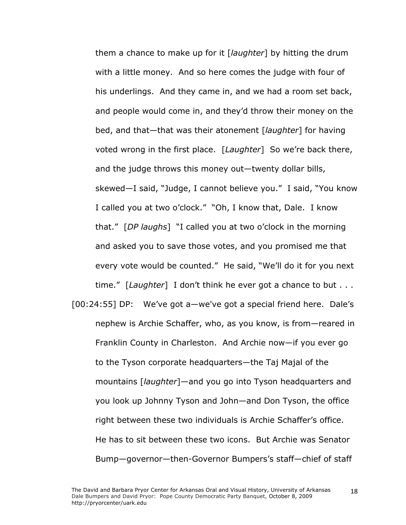them a chance to make up for it [*laughter*] by hitting the drum with a little money. And so here comes the judge with four of his underlings. And they came in, and we had a room set back, and people would come in, and they'd throw their money on the bed, and that—that was their atonement [*laughter*] for having voted wrong in the first place. [*Laughter*] So we're back there, and the judge throws this money out—twenty dollar bills, skewed—I said, "Judge, I cannot believe you." I said, "You know I called you at two o'clock." "Oh, I know that, Dale. I know that." [*DP laughs*] "I called you at two o'clock in the morning and asked you to save those votes, and you promised me that every vote would be counted." He said, "We'll do it for you next time." [*Laughter*] I don't think he ever got a chance to but . . .

[00:24:55] DP: We've got a—we've got a special friend here. Dale's nephew is Archie Schaffer, who, as you know, is from—reared in Franklin County in Charleston. And Archie now—if you ever go to the Tyson corporate headquarters—the Taj Majal of the mountains [*laughter*]—and you go into Tyson headquarters and you look up Johnny Tyson and John—and Don Tyson, the office right between these two individuals is Archie Schaffer's office. He has to sit between these two icons. But Archie was Senator Bump—governor—then-Governor Bumpers's staff—chief of staff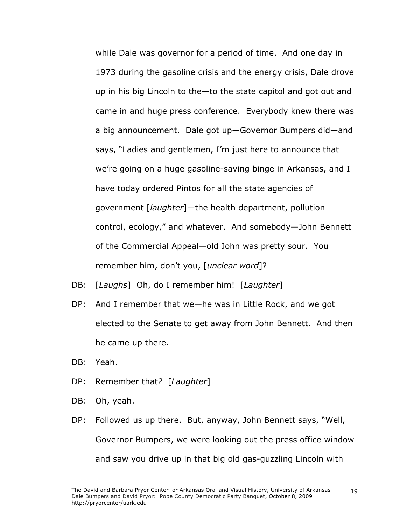while Dale was governor for a period of time. And one day in 1973 during the gasoline crisis and the energy crisis, Dale drove up in his big Lincoln to the—to the state capitol and got out and came in and huge press conference. Everybody knew there was a big announcement. Dale got up—Governor Bumpers did—and says, "Ladies and gentlemen, I'm just here to announce that we're going on a huge gasoline-saving binge in Arkansas, and I have today ordered Pintos for all the state agencies of government [*laughter*]—the health department, pollution control, ecology," and whatever. And somebody—John Bennett of the Commercial Appeal—old John was pretty sour. You remember him, don't you, [*unclear word*]?

- DB: [*Laughs*] Oh, do I remember him! [*Laughter*]
- DP: And I remember that we—he was in Little Rock, and we got elected to the Senate to get away from John Bennett. And then he came up there.
- DB: Yeah.
- DP: Remember that*?* [*Laughter*]
- DB: Oh, yeah.
- DP: Followed us up there. But, anyway, John Bennett says, "Well, Governor Bumpers, we were looking out the press office window and saw you drive up in that big old gas-guzzling Lincoln with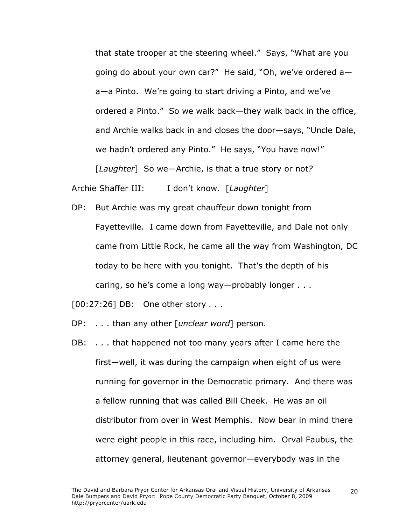that state trooper at the steering wheel." Says, "What are you going do about your own car?" He said, "Oh, we've ordered a a—a Pinto. We're going to start driving a Pinto, and we've ordered a Pinto." So we walk back—they walk back in the office, and Archie walks back in and closes the door—says, "Uncle Dale, we hadn't ordered any Pinto." He says, "You have now!" [*Laughter*] So we—Archie, is that a true story or not*?* 

Archie Shaffer III: I don't know. [*Laughter*]

DP: But Archie was my great chauffeur down tonight from Fayetteville. I came down from Fayetteville, and Dale not only came from Little Rock, he came all the way from Washington, DC today to be here with you tonight. That's the depth of his caring, so he's come a long way—probably longer . . .

[00:27:26] DB: One other story *. . .*

- DP: *. . .* than any other [*unclear word*] person.
- DB: *. . .* that happened not too many years after I came here the first—well, it was during the campaign when eight of us were running for governor in the Democratic primary. And there was a fellow running that was called Bill Cheek. He was an oil distributor from over in West Memphis. Now bear in mind there were eight people in this race, including him. Orval Faubus, the attorney general, lieutenant governor—everybody was in the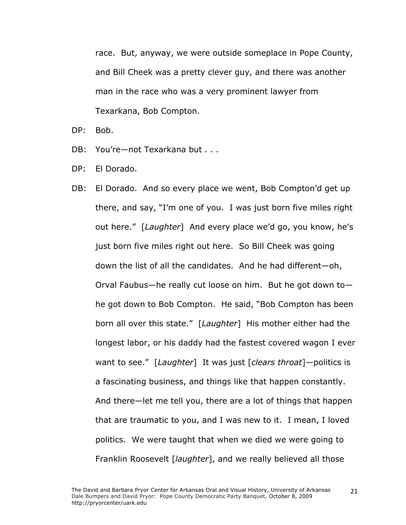race. But, anyway, we were outside someplace in Pope County, and Bill Cheek was a pretty clever guy, and there was another man in the race who was a very prominent lawyer from Texarkana, Bob Compton.

DP: Bob.

- DB: You're—not Texarkana but *. . .*
- DP: El Dorado.
- DB: El Dorado. And so every place we went, Bob Compton'd get up there, and say, "I'm one of you. I was just born five miles right out here." [*Laughter*] And every place we'd go, you know, he's just born five miles right out here. So Bill Cheek was going down the list of all the candidates. And he had different—oh, Orval Faubus—he really cut loose on him. But he got down to he got down to Bob Compton. He said, "Bob Compton has been born all over this state." [*Laughter*] His mother either had the longest labor, or his daddy had the fastest covered wagon I ever want to see." [*Laughter*] It was just [*clears throat*]—politics is a fascinating business, and things like that happen constantly. And there—let me tell you, there are a lot of things that happen that are traumatic to you, and I was new to it. I mean, I loved politics. We were taught that when we died we were going to Franklin Roosevelt [*laughter*], and we really believed all those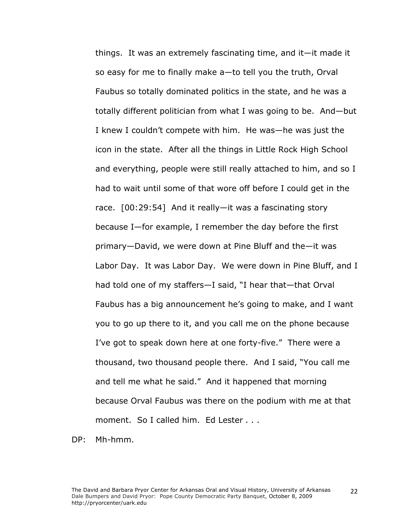things. It was an extremely fascinating time, and it—it made it so easy for me to finally make a—to tell you the truth, Orval Faubus so totally dominated politics in the state, and he was a totally different politician from what I was going to be. And—but I knew I couldn't compete with him. He was—he was just the icon in the state. After all the things in Little Rock High School and everything, people were still really attached to him, and so I had to wait until some of that wore off before I could get in the race. [00:29:54] And it really—it was a fascinating story because I—for example, I remember the day before the first primary—David, we were down at Pine Bluff and the—it was Labor Day. It was Labor Day. We were down in Pine Bluff, and I had told one of my staffers—I said, "I hear that—that Orval Faubus has a big announcement he's going to make, and I want you to go up there to it, and you call me on the phone because I've got to speak down here at one forty-five." There were a thousand, two thousand people there. And I said, "You call me and tell me what he said." And it happened that morning because Orval Faubus was there on the podium with me at that moment. So I called him. Ed Lester *. . .*

DP: Mh-hmm.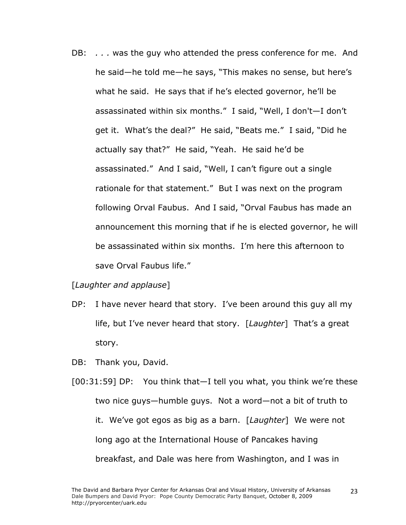DB: *. . .* was the guy who attended the press conference for me. And he said—he told me—he says, "This makes no sense, but here's what he said. He says that if he's elected governor, he'll be assassinated within six months." I said, "Well, I don't—I don't get it. What's the deal?" He said, "Beats me." I said, "Did he actually say that?" He said, "Yeah. He said he'd be assassinated." And I said, "Well, I can't figure out a single rationale for that statement." But I was next on the program following Orval Faubus. And I said, "Orval Faubus has made an announcement this morning that if he is elected governor, he will be assassinated within six months. I'm here this afternoon to save Orval Faubus life."

### [*Laughter and applause*]

- DP: I have never heard that story. I've been around this guy all my life, but I've never heard that story. [*Laughter*] That's a great story.
- DB: Thank you, David.
- [00:31:59] DP: You think that—I tell you what, you think we're these two nice guys—humble guys. Not a word—not a bit of truth to it. We've got egos as big as a barn. [*Laughter*] We were not long ago at the International House of Pancakes having breakfast, and Dale was here from Washington, and I was in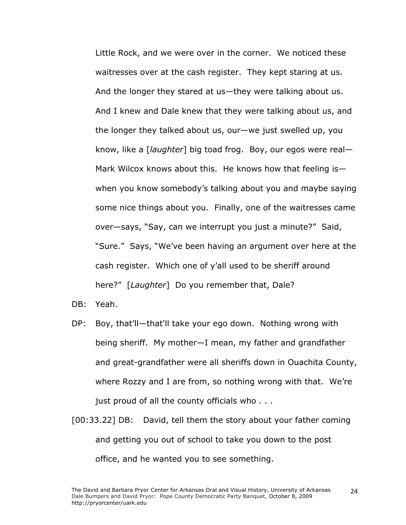Little Rock, and we were over in the corner. We noticed these waitresses over at the cash register. They kept staring at us. And the longer they stared at us—they were talking about us. And I knew and Dale knew that they were talking about us, and the longer they talked about us, our—we just swelled up, you know, like a [*laughter*] big toad frog. Boy, our egos were real— Mark Wilcox knows about this. He knows how that feeling is when you know somebody's talking about you and maybe saying some nice things about you. Finally, one of the waitresses came over—says, "Say, can we interrupt you just a minute?" Said, "Sure." Says, "We've been having an argument over here at the cash register. Which one of y'all used to be sheriff around here?" [*Laughter*] Do you remember that, Dale?

DB: Yeah.

- DP: Boy, that'll—that'll take your ego down. Nothing wrong with being sheriff. My mother—I mean, my father and grandfather and great-grandfather were all sheriffs down in Ouachita County, where Rozzy and I are from, so nothing wrong with that. We're just proud of all the county officials who *. . .*
- [00:33.22] DB: David, tell them the story about your father coming and getting you out of school to take you down to the post office, and he wanted you to see something.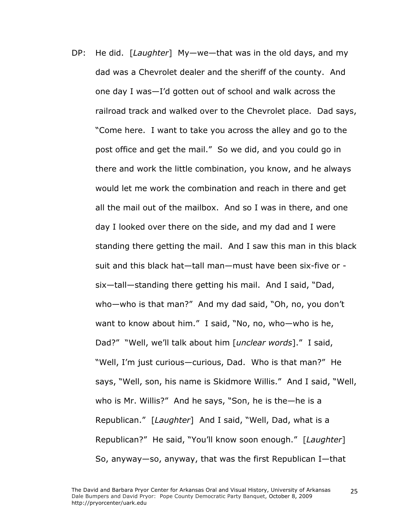DP: He did. [*Laughter*] My—we—that was in the old days, and my dad was a Chevrolet dealer and the sheriff of the county. And one day I was—I'd gotten out of school and walk across the railroad track and walked over to the Chevrolet place. Dad says, "Come here. I want to take you across the alley and go to the post office and get the mail." So we did, and you could go in there and work the little combination, you know, and he always would let me work the combination and reach in there and get all the mail out of the mailbox. And so I was in there, and one day I looked over there on the side, and my dad and I were standing there getting the mail. And I saw this man in this black suit and this black hat—tall man—must have been six-five or six—tall—standing there getting his mail. And I said, "Dad, who—who is that man?" And my dad said, "Oh, no, you don't want to know about him." I said, "No, no, who—who is he, Dad?" "Well, we'll talk about him [*unclear words*]." I said, "Well, I'm just curious—curious, Dad. Who is that man?" He says, "Well, son, his name is Skidmore Willis." And I said, "Well, who is Mr. Willis?" And he says, "Son, he is the—he is a Republican." [*Laughter*] And I said, "Well, Dad, what is a Republican?" He said, "You'll know soon enough." [*Laughter*] So, anyway—so, anyway, that was the first Republican I—that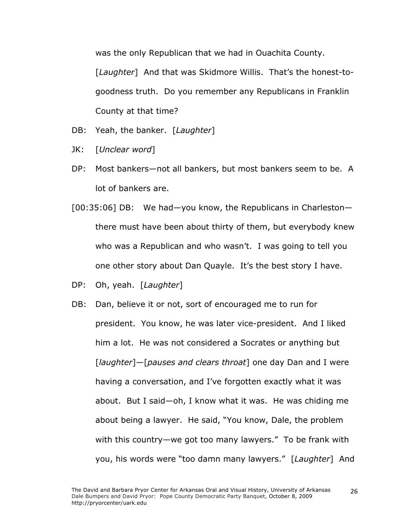was the only Republican that we had in Ouachita County.

[*Laughter*] And that was Skidmore Willis. That's the honest-togoodness truth. Do you remember any Republicans in Franklin County at that time?

- DB: Yeah, the banker. [*Laughter*]
- JK: [*Unclear word*]
- DP: Most bankers—not all bankers, but most bankers seem to be. A lot of bankers are.
- [00:35:06] DB: We had—you know, the Republicans in Charleston there must have been about thirty of them, but everybody knew who was a Republican and who wasn't. I was going to tell you one other story about Dan Quayle. It's the best story I have.
- DP: Oh, yeah. [*Laughter*]
- DB: Dan, believe it or not, sort of encouraged me to run for president. You know, he was later vice-president. And I liked him a lot. He was not considered a Socrates or anything but [*laughter*]—[*pauses and clears throat*] one day Dan and I were having a conversation, and I've forgotten exactly what it was about. But I said—oh, I know what it was. He was chiding me about being a lawyer. He said, "You know, Dale, the problem with this country—we got too many lawyers." To be frank with you, his words were "too damn many lawyers." [*Laughter*] And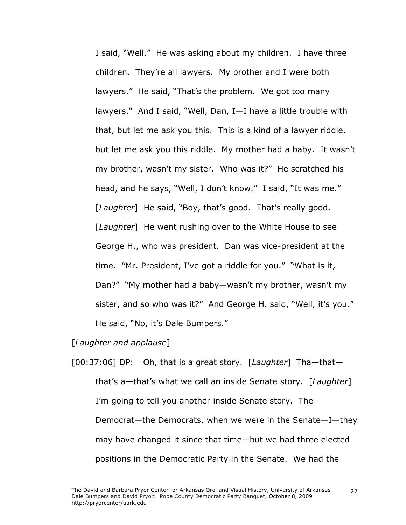I said, "Well." He was asking about my children. I have three children. They're all lawyers. My brother and I were both lawyers." He said, "That's the problem. We got too many lawyers." And I said, "Well, Dan, I—I have a little trouble with that, but let me ask you this. This is a kind of a lawyer riddle, but let me ask you this riddle. My mother had a baby. It wasn't my brother, wasn't my sister. Who was it?" He scratched his head, and he says, "Well, I don't know." I said, "It was me." [*Laughter*] He said, "Boy, that's good. That's really good. [*Laughter*] He went rushing over to the White House to see George H., who was president. Dan was vice-president at the time. "Mr. President, I've got a riddle for you." "What is it, Dan?" "My mother had a baby—wasn't my brother, wasn't my sister, and so who was it?" And George H. said, "Well, it's you." He said, "No, it's Dale Bumpers."

### [*Laughter and applause*]

[00:37:06] DP: Oh, that is a great story. [*Laughter*] Tha—that that's a—that's what we call an inside Senate story. [*Laughter*] I'm going to tell you another inside Senate story. The Democrat—the Democrats, when we were in the Senate—I—they may have changed it since that time—but we had three elected positions in the Democratic Party in the Senate. We had the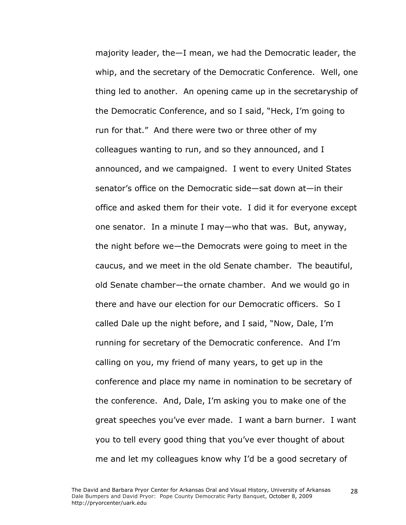majority leader, the—I mean, we had the Democratic leader, the whip, and the secretary of the Democratic Conference. Well, one thing led to another. An opening came up in the secretaryship of the Democratic Conference, and so I said, "Heck, I'm going to run for that." And there were two or three other of my colleagues wanting to run, and so they announced, and I announced, and we campaigned. I went to every United States senator's office on the Democratic side—sat down at—in their office and asked them for their vote. I did it for everyone except one senator. In a minute I may—who that was. But, anyway, the night before we—the Democrats were going to meet in the caucus, and we meet in the old Senate chamber. The beautiful, old Senate chamber—the ornate chamber. And we would go in there and have our election for our Democratic officers. So I called Dale up the night before, and I said, "Now, Dale, I'm running for secretary of the Democratic conference. And I'm calling on you, my friend of many years, to get up in the conference and place my name in nomination to be secretary of the conference. And, Dale, I'm asking you to make one of the great speeches you've ever made. I want a barn burner. I want you to tell every good thing that you've ever thought of about me and let my colleagues know why I'd be a good secretary of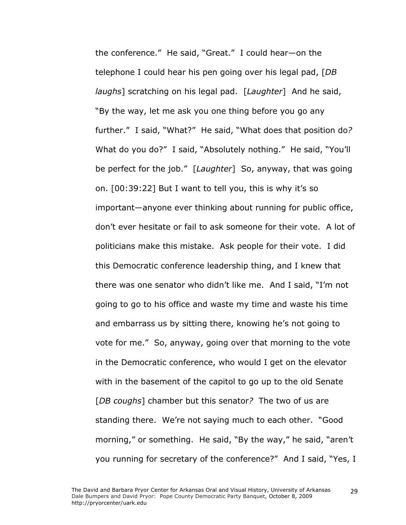the conference." He said, "Great." I could hear—on the telephone I could hear his pen going over his legal pad, [*DB laughs*] scratching on his legal pad. [*Laughter*] And he said, "By the way, let me ask you one thing before you go any further." I said, "What?" He said, "What does that position do*?*  What do you do?" I said, "Absolutely nothing." He said, "You'll be perfect for the job." [*Laughter*] So, anyway, that was going on. [00:39:22] But I want to tell you, this is why it's so important—anyone ever thinking about running for public office, don't ever hesitate or fail to ask someone for their vote. A lot of politicians make this mistake. Ask people for their vote. I did this Democratic conference leadership thing, and I knew that there was one senator who didn't like me. And I said, "I'm not going to go to his office and waste my time and waste his time and embarrass us by sitting there, knowing he's not going to vote for me." So, anyway, going over that morning to the vote in the Democratic conference, who would I get on the elevator with in the basement of the capitol to go up to the old Senate [*DB coughs*] chamber but this senator*?* The two of us are standing there. We're not saying much to each other. "Good morning," or something. He said, "By the way," he said, "aren't you running for secretary of the conference?" And I said, "Yes, I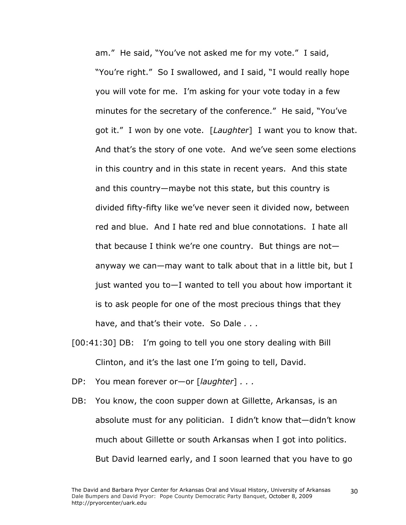am." He said, "You've not asked me for my vote." I said, "You're right." So I swallowed, and I said, "I would really hope you will vote for me. I'm asking for your vote today in a few minutes for the secretary of the conference." He said, "You've got it." I won by one vote. [*Laughter*] I want you to know that. And that's the story of one vote. And we've seen some elections in this country and in this state in recent years. And this state and this country—maybe not this state, but this country is divided fifty-fifty like we've never seen it divided now, between red and blue. And I hate red and blue connotations. I hate all that because I think we're one country. But things are not anyway we can—may want to talk about that in a little bit, but I just wanted you to—I wanted to tell you about how important it is to ask people for one of the most precious things that they have, and that's their vote. So Dale *. . .*

- [00:41:30] DB: I'm going to tell you one story dealing with Bill Clinton, and it's the last one I'm going to tell, David.
- DP: You mean forever or—or [*laughter*] *. . .*
- DB: You know, the coon supper down at Gillette, Arkansas, is an absolute must for any politician. I didn't know that—didn't know much about Gillette or south Arkansas when I got into politics. But David learned early, and I soon learned that you have to go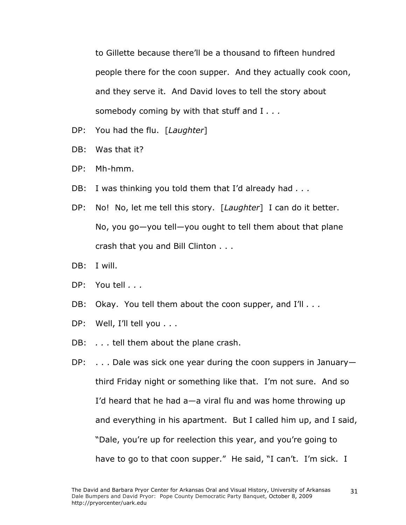to Gillette because there'll be a thousand to fifteen hundred people there for the coon supper. And they actually cook coon, and they serve it. And David loves to tell the story about somebody coming by with that stuff and I *. . .*

- DP: You had the flu. [*Laughter*]
- DB: Was that it?
- DP: Mh-hmm.
- DB: I was thinking you told them that I'd already had *. . .*
- DP: No! No, let me tell this story. [*Laughter*] I can do it better. No, you go—you tell—you ought to tell them about that plane crash that you and Bill Clinton . . .
- DB: I will.
- DP: You tell *. . .*
- DB: Okay. You tell them about the coon supper, and I'll *. . .*
- DP: Well, I'll tell you . . .
- DB: . . . tell them about the plane crash.
- DP: . . . Dale was sick one year during the coon suppers in January third Friday night or something like that. I'm not sure. And so I'd heard that he had a—a viral flu and was home throwing up and everything in his apartment. But I called him up, and I said, "Dale, you're up for reelection this year, and you're going to have to go to that coon supper." He said, "I can't. I'm sick. I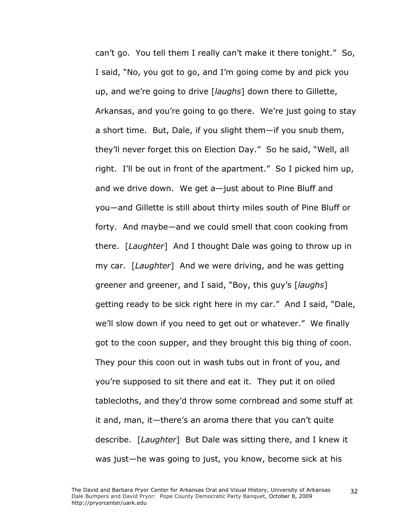can't go. You tell them I really can't make it there tonight." So, I said, "No, you got to go, and I'm going come by and pick you up, and we're going to drive [*laughs*] down there to Gillette, Arkansas, and you're going to go there. We're just going to stay a short time. But, Dale, if you slight them—if you snub them, they'll never forget this on Election Day." So he said, "Well, all right. I'll be out in front of the apartment." So I picked him up, and we drive down. We get a—just about to Pine Bluff and you—and Gillette is still about thirty miles south of Pine Bluff or forty. And maybe—and we could smell that coon cooking from there. [*Laughter*] And I thought Dale was going to throw up in my car. [*Laughter*] And we were driving, and he was getting greener and greener, and I said, "Boy, this guy's [*laughs*] getting ready to be sick right here in my car." And I said, "Dale, we'll slow down if you need to get out or whatever." We finally got to the coon supper, and they brought this big thing of coon. They pour this coon out in wash tubs out in front of you, and you're supposed to sit there and eat it. They put it on oiled tablecloths, and they'd throw some cornbread and some stuff at it and, man, it—there's an aroma there that you can't quite describe. [*Laughter*] But Dale was sitting there, and I knew it was just—he was going to just, you know, become sick at his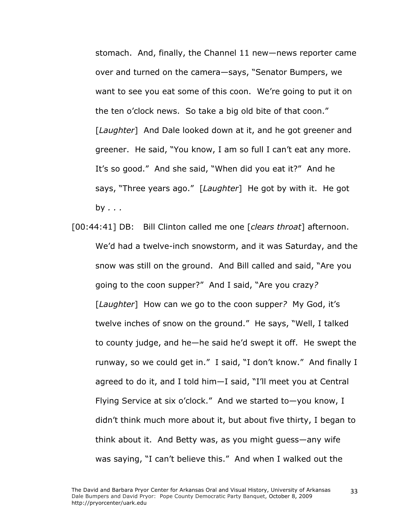stomach. And, finally, the Channel 11 new—news reporter came over and turned on the camera—says, "Senator Bumpers, we want to see you eat some of this coon. We're going to put it on the ten o'clock news. So take a big old bite of that coon." [*Laughter*] And Dale looked down at it, and he got greener and greener. He said, "You know, I am so full I can't eat any more. It's so good." And she said, "When did you eat it?" And he says, "Three years ago." [*Laughter*] He got by with it. He got by *. . .*

[00:44:41] DB: Bill Clinton called me one [*clears throat*] afternoon. We'd had a twelve-inch snowstorm, and it was Saturday, and the snow was still on the ground. And Bill called and said, "Are you going to the coon supper?" And I said, "Are you crazy*?*  [*Laughter*] How can we go to the coon supper*?* My God, it's twelve inches of snow on the ground." He says, "Well, I talked to county judge, and he—he said he'd swept it off. He swept the runway, so we could get in." I said, "I don't know." And finally I agreed to do it, and I told him—I said, "I'll meet you at Central Flying Service at six o'clock." And we started to—you know, I didn't think much more about it, but about five thirty, I began to think about it. And Betty was, as you might guess—any wife was saying, "I can't believe this." And when I walked out the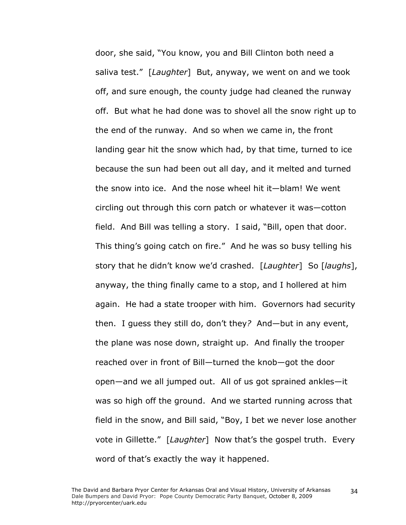door, she said, "You know, you and Bill Clinton both need a saliva test." [*Laughter*] But, anyway, we went on and we took off, and sure enough, the county judge had cleaned the runway off. But what he had done was to shovel all the snow right up to the end of the runway. And so when we came in, the front landing gear hit the snow which had, by that time, turned to ice because the sun had been out all day, and it melted and turned the snow into ice. And the nose wheel hit it—blam! We went circling out through this corn patch or whatever it was—cotton field. And Bill was telling a story. I said, "Bill, open that door. This thing's going catch on fire." And he was so busy telling his story that he didn't know we'd crashed. [*Laughter*] So [*laughs*], anyway, the thing finally came to a stop, and I hollered at him again. He had a state trooper with him. Governors had security then. I guess they still do, don't they*?* And—but in any event, the plane was nose down, straight up. And finally the trooper reached over in front of Bill—turned the knob—got the door open—and we all jumped out. All of us got sprained ankles—it was so high off the ground. And we started running across that field in the snow, and Bill said, "Boy, I bet we never lose another vote in Gillette." [*Laughter*] Now that's the gospel truth. Every word of that's exactly the way it happened.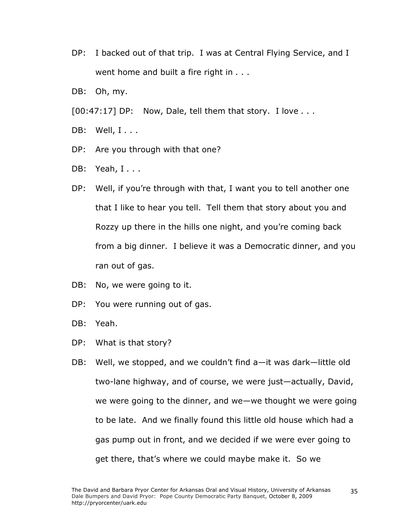- DP: I backed out of that trip. I was at Central Flying Service, and I went home and built a fire right in *. . .*
- DB: Oh, my.
- [00:47:17] DP: Now, Dale, tell them that story. I love *. . .*
- DB: Well, I *. . .*
- DP: Are you through with that one?
- DB: Yeah, I *. . .*
- DP: Well, if you're through with that, I want you to tell another one that I like to hear you tell. Tell them that story about you and Rozzy up there in the hills one night, and you're coming back from a big dinner. I believe it was a Democratic dinner, and you ran out of gas.
- DB: No, we were going to it.
- DP: You were running out of gas.
- DB: Yeah.
- DP: What is that story?
- DB: Well, we stopped, and we couldn't find a—it was dark—little old two-lane highway, and of course, we were just—actually, David, we were going to the dinner, and we—we thought we were going to be late. And we finally found this little old house which had a gas pump out in front, and we decided if we were ever going to get there, that's where we could maybe make it. So we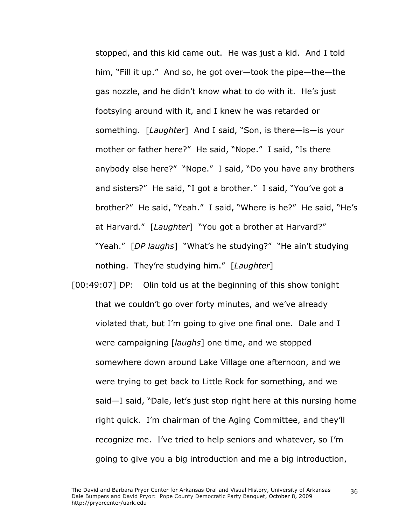stopped, and this kid came out. He was just a kid. And I told him, "Fill it up." And so, he got over—took the pipe—the—the gas nozzle, and he didn't know what to do with it. He's just footsying around with it, and I knew he was retarded or something. [*Laughter*] And I said, "Son, is there—is—is your mother or father here?" He said, "Nope." I said, "Is there anybody else here?" "Nope." I said, "Do you have any brothers and sisters?" He said, "I got a brother." I said, "You've got a brother?" He said, "Yeah." I said, "Where is he?" He said, "He's at Harvard." [*Laughter*] "You got a brother at Harvard?" "Yeah." [*DP laughs*] "What's he studying?" "He ain't studying nothing. They're studying him." [*Laughter*]

[00:49:07] DP: Olin told us at the beginning of this show tonight that we couldn't go over forty minutes, and we've already violated that, but I'm going to give one final one. Dale and I were campaigning [*laughs*] one time, and we stopped somewhere down around Lake Village one afternoon, and we were trying to get back to Little Rock for something, and we said—I said, "Dale, let's just stop right here at this nursing home right quick. I'm chairman of the Aging Committee, and they'll recognize me. I've tried to help seniors and whatever, so I'm going to give you a big introduction and me a big introduction,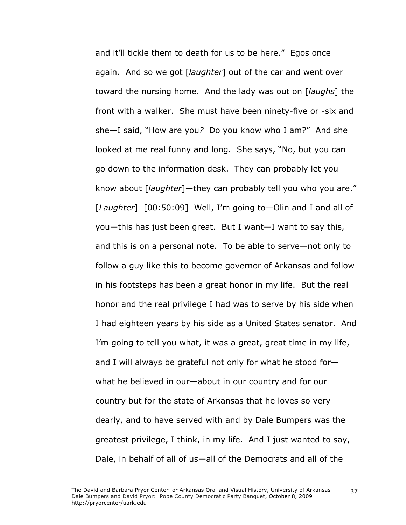and it'll tickle them to death for us to be here." Egos once again. And so we got [*laughter*] out of the car and went over toward the nursing home. And the lady was out on [*laughs*] the front with a walker. She must have been ninety-five or -six and she—I said, "How are you*?* Do you know who I am?" And she looked at me real funny and long. She says, "No, but you can go down to the information desk. They can probably let you know about [*laughter*]—they can probably tell you who you are." [*Laughter*] [00:50:09] Well, I'm going to—Olin and I and all of you—this has just been great. But I want—I want to say this, and this is on a personal note. To be able to serve—not only to follow a guy like this to become governor of Arkansas and follow in his footsteps has been a great honor in my life. But the real honor and the real privilege I had was to serve by his side when I had eighteen years by his side as a United States senator. And I'm going to tell you what, it was a great, great time in my life, and I will always be grateful not only for what he stood for what he believed in our—about in our country and for our country but for the state of Arkansas that he loves so very dearly, and to have served with and by Dale Bumpers was the greatest privilege, I think, in my life. And I just wanted to say, Dale, in behalf of all of us—all of the Democrats and all of the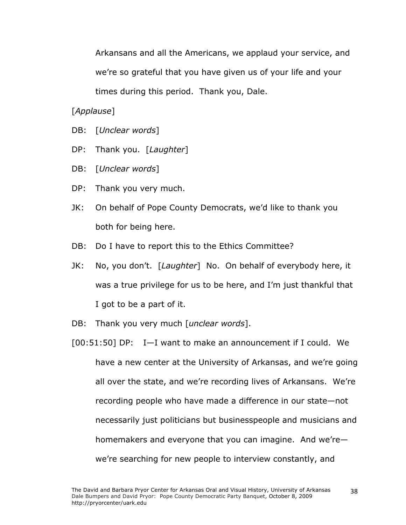Arkansans and all the Americans, we applaud your service, and we're so grateful that you have given us of your life and your times during this period. Thank you, Dale.

[*Applause*]

- DB: [*Unclear words*]
- DP: Thank you. [*Laughter*]
- DB: [*Unclear words*]
- DP: Thank you very much.
- JK: On behalf of Pope County Democrats, we'd like to thank you both for being here.
- DB: Do I have to report this to the Ethics Committee?
- JK: No, you don't. [*Laughter*] No. On behalf of everybody here, it was a true privilege for us to be here, and I'm just thankful that I got to be a part of it.
- DB: Thank you very much [*unclear words*].
- [00:51:50] DP: I—I want to make an announcement if I could. We have a new center at the University of Arkansas, and we're going all over the state, and we're recording lives of Arkansans. We're recording people who have made a difference in our state—not necessarily just politicians but businesspeople and musicians and homemakers and everyone that you can imagine. And we're we're searching for new people to interview constantly, and